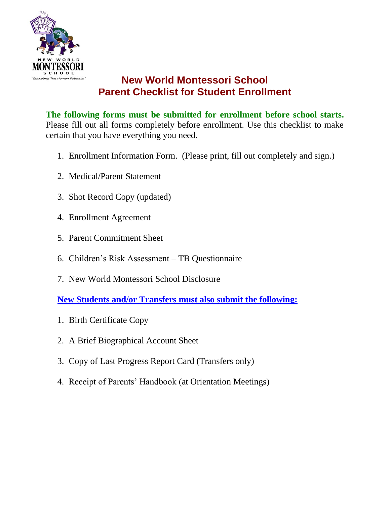

# **New World Montessori School Parent Checklist for Student Enrollment**

**The following forms must be submitted for enrollment before school starts.** Please fill out all forms completely before enrollment. Use this checklist to make certain that you have everything you need.

- 1. Enrollment Information Form. (Please print, fill out completely and sign.)
- 2. Medical/Parent Statement
- 3. Shot Record Copy (updated)
- 4. Enrollment Agreement
- 5. Parent Commitment Sheet
- 6. Children's Risk Assessment TB Questionnaire
- 7. New World Montessori School Disclosure

**New Students and/or Transfers must also submit the following:**

- 1. Birth Certificate Copy
- 2. A Brief Biographical Account Sheet
- 3. Copy of Last Progress Report Card (Transfers only)
- 4. Receipt of Parents' Handbook (at Orientation Meetings)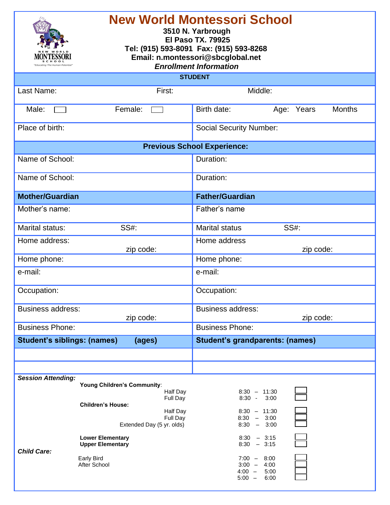| <b>New World Montessori School</b><br>3510 N. Yarbrough<br><b>El Paso TX. 79925</b><br>Tel: (915) 593-8091 Fax: (915) 593-8268<br>Email: n.montessori@sbcglobal.net<br><b>Enrollment Information</b> |                                                                                                               |                                                                                                                              |  |
|------------------------------------------------------------------------------------------------------------------------------------------------------------------------------------------------------|---------------------------------------------------------------------------------------------------------------|------------------------------------------------------------------------------------------------------------------------------|--|
|                                                                                                                                                                                                      |                                                                                                               | <b>STUDENT</b>                                                                                                               |  |
| Last Name:                                                                                                                                                                                           | First:                                                                                                        | Middle:                                                                                                                      |  |
| Male:                                                                                                                                                                                                | Female:                                                                                                       | Birth date:<br><b>Months</b><br>Age: Years                                                                                   |  |
| Place of birth:                                                                                                                                                                                      |                                                                                                               | <b>Social Security Number:</b>                                                                                               |  |
|                                                                                                                                                                                                      |                                                                                                               | <b>Previous School Experience:</b>                                                                                           |  |
| Name of School:                                                                                                                                                                                      |                                                                                                               | Duration:                                                                                                                    |  |
| Name of School:                                                                                                                                                                                      |                                                                                                               | Duration:                                                                                                                    |  |
| <b>Mother/Guardian</b>                                                                                                                                                                               |                                                                                                               | <b>Father/Guardian</b>                                                                                                       |  |
| Mother's name:                                                                                                                                                                                       |                                                                                                               | Father's name                                                                                                                |  |
| Marital status:                                                                                                                                                                                      | <b>SS#:</b>                                                                                                   | <b>SS#:</b><br><b>Marital status</b>                                                                                         |  |
| Home address:                                                                                                                                                                                        |                                                                                                               | Home address                                                                                                                 |  |
|                                                                                                                                                                                                      | zip code:                                                                                                     | zip code:<br>Home phone:                                                                                                     |  |
| Home phone:<br>e-mail:                                                                                                                                                                               |                                                                                                               | e-mail:                                                                                                                      |  |
|                                                                                                                                                                                                      |                                                                                                               |                                                                                                                              |  |
| Occupation:                                                                                                                                                                                          |                                                                                                               | Occupation:                                                                                                                  |  |
| <b>Business address:</b>                                                                                                                                                                             | zip code:                                                                                                     | <b>Business address:</b><br>zip code:                                                                                        |  |
| <b>Business Phone:</b>                                                                                                                                                                               |                                                                                                               | <b>Business Phone:</b>                                                                                                       |  |
| <b>Student's siblings: (names)</b>                                                                                                                                                                   | (ages)                                                                                                        | <b>Student's grandparents: (names)</b>                                                                                       |  |
|                                                                                                                                                                                                      |                                                                                                               |                                                                                                                              |  |
|                                                                                                                                                                                                      |                                                                                                               |                                                                                                                              |  |
| <b>Session Attending:</b>                                                                                                                                                                            | Young Children's Community:<br>Half Day<br>Full Day<br><b>Children's House:</b><br>Half Day<br>Full Day       | $8:30 - 11:30$<br>$8:30 - 3:00$<br>$8:30 - 11:30$<br>$8:30 - 3:00$                                                           |  |
| <b>Child Care:</b>                                                                                                                                                                                   | Extended Day (5 yr. olds)<br><b>Lower Elementary</b><br><b>Upper Elementary</b><br>Early Bird<br>After School | $8:30 - 3:00$<br>$8:30 - 3:15$<br>$8:30 - 3:15$<br>$7:00 - 8:00$<br>$3:00 -$<br>4:00<br>$4:00 -$<br>5:00<br>$5:00 -$<br>6:00 |  |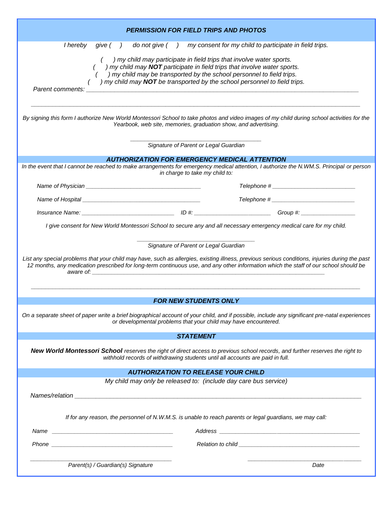|                                                                                                                                                                                                                                |                                                                                                                                                                                                                               | <b>PERMISSION FOR FIELD TRIPS AND PHOTOS</b>                                                                                                                                                                                                                                                           |                                                                                                                                                                                                                                                                                        |
|--------------------------------------------------------------------------------------------------------------------------------------------------------------------------------------------------------------------------------|-------------------------------------------------------------------------------------------------------------------------------------------------------------------------------------------------------------------------------|--------------------------------------------------------------------------------------------------------------------------------------------------------------------------------------------------------------------------------------------------------------------------------------------------------|----------------------------------------------------------------------------------------------------------------------------------------------------------------------------------------------------------------------------------------------------------------------------------------|
| I hereby give ()                                                                                                                                                                                                               |                                                                                                                                                                                                                               | do not give () my consent for my child to participate in field trips.                                                                                                                                                                                                                                  |                                                                                                                                                                                                                                                                                        |
| Parent comments:                                                                                                                                                                                                               |                                                                                                                                                                                                                               | ) my child may participate in field trips that involve water sports.<br>) my child may NOT participate in field trips that involve water sports.<br>) my child may be transported by the school personnel to field trips.<br>) my child may NOT be transported by the school personnel to field trips. |                                                                                                                                                                                                                                                                                        |
|                                                                                                                                                                                                                                |                                                                                                                                                                                                                               | Yearbook, web site, memories, graduation show, and advertising.                                                                                                                                                                                                                                        | By signing this form I authorize New World Montessori School to take photos and video images of my child during school activities for the                                                                                                                                              |
|                                                                                                                                                                                                                                |                                                                                                                                                                                                                               | Signature of Parent or Legal Guardian                                                                                                                                                                                                                                                                  |                                                                                                                                                                                                                                                                                        |
|                                                                                                                                                                                                                                |                                                                                                                                                                                                                               | <b>AUTHORIZATION FOR EMERGENCY MEDICAL ATTENTION</b><br>in charge to take my child to:                                                                                                                                                                                                                 | In the event that I cannot be reached to make arrangements for emergency medical attention, I authorize the N.WM.S. Principal or person                                                                                                                                                |
|                                                                                                                                                                                                                                |                                                                                                                                                                                                                               |                                                                                                                                                                                                                                                                                                        |                                                                                                                                                                                                                                                                                        |
|                                                                                                                                                                                                                                |                                                                                                                                                                                                                               |                                                                                                                                                                                                                                                                                                        | Telephone # 2000 Contract 2000 Contract 2000 Contract 2000 Contract 2000 Contract 2000 Contract 2000 Contract 2000 Contract 2000 Contract 2000 Contract 2000 Contract 2000 Contract 2000 Contract 2000 Contract 2000 Contract                                                          |
|                                                                                                                                                                                                                                |                                                                                                                                                                                                                               |                                                                                                                                                                                                                                                                                                        |                                                                                                                                                                                                                                                                                        |
|                                                                                                                                                                                                                                | aware of: the contract of the contract of the contract of the contract of the contract of the contract of the contract of the contract of the contract of the contract of the contract of the contract of the contract of the | I give consent for New World Montessori School to secure any and all necessary emergency medical care for my child.<br>Signature of Parent or Legal Guardian<br><b>FOR NEW STUDENTS ONLY</b>                                                                                                           | List any special problems that your child may have, such as allergies, existing illness, previous serious conditions, injuries during the past<br>12 months, any medication prescribed for long-term continuous use, and any other information which the staff of our school should be |
|                                                                                                                                                                                                                                |                                                                                                                                                                                                                               | or developmental problems that your child may have encountered.                                                                                                                                                                                                                                        | On a separate sheet of paper write a brief biographical account of your child, and if possible, include any significant pre-natal experiences                                                                                                                                          |
|                                                                                                                                                                                                                                |                                                                                                                                                                                                                               | <b>STATEMENT</b>                                                                                                                                                                                                                                                                                       |                                                                                                                                                                                                                                                                                        |
| New World Montessori School reserves the right of direct access to previous school records, and further reserves the right to<br>withhold records of withdrawing students until all accounts are paid in full.                 |                                                                                                                                                                                                                               |                                                                                                                                                                                                                                                                                                        |                                                                                                                                                                                                                                                                                        |
|                                                                                                                                                                                                                                |                                                                                                                                                                                                                               | <b>AUTHORIZATION TO RELEASE YOUR CHILD</b>                                                                                                                                                                                                                                                             |                                                                                                                                                                                                                                                                                        |
|                                                                                                                                                                                                                                |                                                                                                                                                                                                                               | My child may only be released to: (include day care bus service)<br>If for any reason, the personnel of N.W.M.S. is unable to reach parents or legal guardians, we may call:                                                                                                                           |                                                                                                                                                                                                                                                                                        |
|                                                                                                                                                                                                                                |                                                                                                                                                                                                                               |                                                                                                                                                                                                                                                                                                        |                                                                                                                                                                                                                                                                                        |
| Phone experience and the contract of the contract of the contract of the contract of the contract of the contract of the contract of the contract of the contract of the contract of the contract of the contract of the contr |                                                                                                                                                                                                                               |                                                                                                                                                                                                                                                                                                        |                                                                                                                                                                                                                                                                                        |
|                                                                                                                                                                                                                                | Parent(s) / Guardian(s) Signature                                                                                                                                                                                             |                                                                                                                                                                                                                                                                                                        | Date                                                                                                                                                                                                                                                                                   |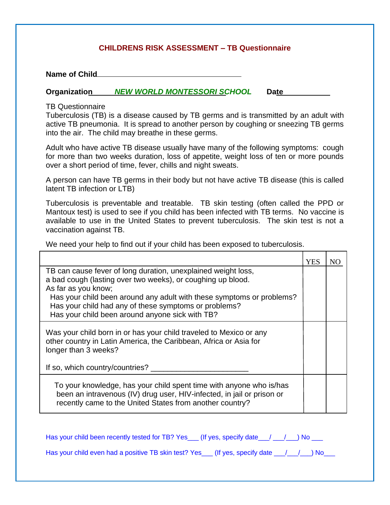#### **CHILDRENS RISK ASSESSMENT – TB Questionnaire**

**Name of Child**

#### **Organization** *NEW WORLD MONTESSORI SCHOOL* **Date**

TB Questionnaire

Tuberculosis (TB) is a disease caused by TB germs and is transmitted by an adult with active TB pneumonia. It is spread to another person by coughing or sneezing TB germs into the air. The child may breathe in these germs.

Adult who have active TB disease usually have many of the following symptoms: cough for more than two weeks duration, loss of appetite, weight loss of ten or more pounds over a short period of time, fever, chills and night sweats.

A person can have TB germs in their body but not have active TB disease (this is called latent TB infection or LTB)

Tuberculosis is preventable and treatable. TB skin testing (often called the PPD or Mantoux test) is used to see if you child has been infected with TB terms. No vaccine is available to use in the United States to prevent tuberculosis. The skin test is not a vaccination against TB.

We need your help to find out if your child has been exposed to tuberculosis.

|                                                                                                                                                                                                           | YES | NO |
|-----------------------------------------------------------------------------------------------------------------------------------------------------------------------------------------------------------|-----|----|
| TB can cause fever of long duration, unexplained weight loss,                                                                                                                                             |     |    |
| a bad cough (lasting over two weeks), or coughing up blood.<br>As far as you know;                                                                                                                        |     |    |
| Has your child been around any adult with these symptoms or problems?<br>Has your child had any of these symptoms or problems?<br>Has your child been around anyone sick with TB?                         |     |    |
| Was your child born in or has your child traveled to Mexico or any<br>other country in Latin America, the Caribbean, Africa or Asia for<br>longer than 3 weeks?                                           |     |    |
| If so, which country/countries?                                                                                                                                                                           |     |    |
| To your knowledge, has your child spent time with anyone who is/has<br>been an intravenous (IV) drug user, HIV-infected, in jail or prison or<br>recently came to the United States from another country? |     |    |

| Has your child been recently tested for TB? Yes___ (If yes, specify date___/ __/ __) No ___   |  |
|-----------------------------------------------------------------------------------------------|--|
| Has your child even had a positive TB skin test? Yes___ (If yes, specify date __/__/__) No___ |  |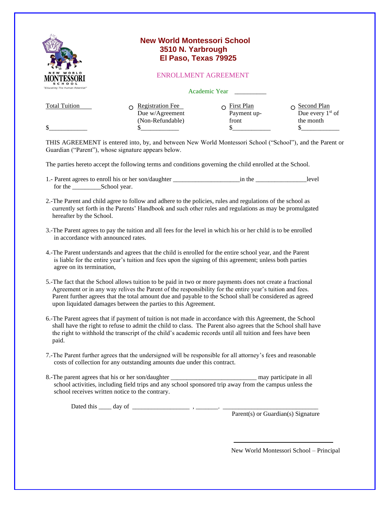|                                     | <b>New World Montessori School</b>                                                                                                                                                                                     |                                    |                                                      |
|-------------------------------------|------------------------------------------------------------------------------------------------------------------------------------------------------------------------------------------------------------------------|------------------------------------|------------------------------------------------------|
|                                     | 3510 N. Yarbrough                                                                                                                                                                                                      |                                    |                                                      |
|                                     | El Paso, Texas 79925                                                                                                                                                                                                   |                                    |                                                      |
| NEW WORLD                           |                                                                                                                                                                                                                        | <b>ENROLLMENT AGREEMENT</b>        |                                                      |
| "Educating The Human Potential"     |                                                                                                                                                                                                                        | Academic Year __________           |                                                      |
| <b>Total Tuition</b>                | $\Omega$ Registration Fee<br>Due w/Agreement                                                                                                                                                                           | $\Omega$ First Plan<br>Payment up- | $\Omega$ Second Plan<br>Due every 1 <sup>st</sup> of |
| \$                                  | (Non-Refundable)<br>$\frac{\text{S}}{\text{S}}$                                                                                                                                                                        | front<br>$\mathbb{S}$              | the month<br>$\mathbb{S}$                            |
|                                     | THIS AGREEMENT is entered into, by, and between New World Montessori School ("School"), and the Parent or<br>Guardian ("Parent"), whose signature appears below.                                                       |                                    |                                                      |
|                                     | The parties hereto accept the following terms and conditions governing the child enrolled at the School.                                                                                                               |                                    |                                                      |
|                                     |                                                                                                                                                                                                                        |                                    |                                                      |
| hereafter by the School.            | 2.-The Parent and child agree to follow and adhere to the policies, rules and regulations of the school as<br>currently set forth in the Parents' Handbook and such other rules and regulations as may be promulgated  |                                    |                                                      |
| in accordance with announced rates. | 3.-The Parent agrees to pay the tuition and all fees for the level in which his or her child is to be enrolled                                                                                                         |                                    |                                                      |
|                                     | 4.-The Parent understands and agrees that the child is enrolled for the entire school year, and the Parent<br>is liable for the entire year's tuition and fees upon the signing of this agreement; unless both parties |                                    |                                                      |

- is liable for the entire year's tuition and fees upon the signing of this agreement; unless both parties agree on its termination,
- 5.-The fact that the School allows tuition to be paid in two or more payments does not create a fractional Agreement or in any way relives the Parent of the responsibility for the entire year's tuition and fees. Parent further agrees that the total amount due and payable to the School shall be considered as agreed upon liquidated damages between the parties to this Agreement.
- 6.-The Parent agrees that if payment of tuition is not made in accordance with this Agreement, the School shall have the right to refuse to admit the child to class. The Parent also agrees that the School shall have the right to withhold the transcript of the child's academic records until all tuition and fees have been paid.
- 7.-The Parent further agrees that the undersigned will be responsible for all attorney's fees and reasonable costs of collection for any outstanding amounts due under this contract.
- 8.-The parent agrees that his or her son/daughter \_\_\_\_\_\_\_\_\_\_\_\_\_\_\_\_\_\_\_\_\_\_\_\_\_\_\_ may participate in all school activities, including field trips and any school sponsored trip away from the campus unless the school receives written notice to the contrary.

Dated this \_\_\_\_ day of \_\_\_\_\_\_\_\_\_\_\_\_\_\_\_\_\_\_ , \_\_\_\_\_\_\_. \_\_\_\_\_\_\_\_\_\_\_\_\_\_\_\_\_\_\_\_\_\_\_\_\_\_\_\_\_\_

Parent(s) or Guardian(s) Signature

New World Montessori School – Principal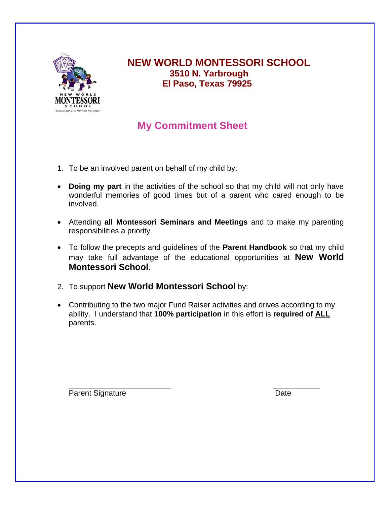

**NEW WORLD MONTESSORI SCHOOL 3510 N. Yarbrough El Paso, Texas 79925**

## **My Commitment Sheet**

- 1. To be an involved parent on behalf of my child by:
- **Doing my part** in the activities of the school so that my child will not only have wonderful memories of good times but of a parent who cared enough to be involved.
- Attending **all Montessori Seminars and Meetings** and to make my parenting responsibilities a priority.
- To follow the precepts and guidelines of the **Parent Handbook** so that my child may take full advantage of the educational opportunities at **New World Montessori School.**
- 2. To support **New World Montessori School** by:
- Contributing to the two major Fund Raiser activities and drives according to my ability. I understand that **100% participation** in this effort is **required of ALL** parents.

\_\_\_\_\_\_\_\_\_\_\_\_\_\_\_\_\_\_\_\_\_\_\_\_ \_\_\_\_\_\_\_\_\_\_\_

Parent Signature Date Date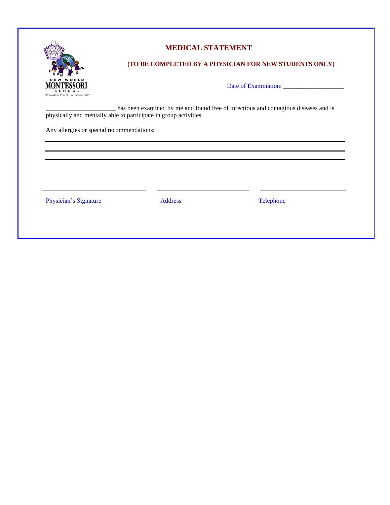

#### **MEDICAL STATEMENT**

#### **(TO BE COMPLETED BY A PHYSICIAN FOR NEW STUDENTS ONLY)**

Date of Examination: \_\_\_\_\_\_\_\_\_\_\_\_\_\_\_\_\_\_\_

\_\_\_\_\_\_\_\_\_\_\_\_\_\_\_\_\_\_\_\_\_\_ has been examined by me and found free of infectious and contagious diseases and is physically and mentally able to participate in group activities.

Any allergies or special recommendations:

Physician's Signature Address Address Telephone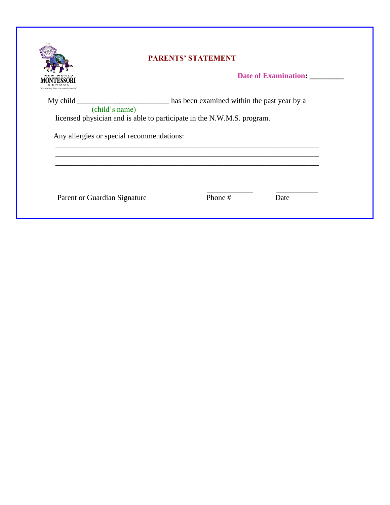

## **PARENTS' STATEMENT**

**Date of Examination: \_\_\_\_\_\_\_\_\_**

My child \_\_\_\_\_\_\_\_\_\_\_\_\_\_\_\_\_\_\_\_\_\_\_\_\_\_\_\_\_\_\_\_ has been examined within the past year by a (child's name) licensed physician and is able to participate in the N.W.M.S. program. Any allergies or special recommendations: \_\_\_\_\_\_\_\_\_\_\_\_\_\_\_\_\_\_\_\_\_\_\_\_\_\_\_\_\_\_\_\_\_\_\_\_\_\_\_\_\_\_\_\_\_\_\_\_\_\_\_\_\_\_\_\_\_\_\_\_\_\_\_\_\_\_\_\_\_ \_\_\_\_\_\_\_\_\_\_\_\_\_\_\_\_\_\_\_\_\_\_\_\_\_\_\_\_\_\_\_\_\_\_\_\_\_\_\_\_\_\_\_\_\_\_\_\_\_\_\_\_\_\_\_\_\_\_\_\_\_\_\_\_\_\_\_\_\_

\_\_\_\_\_\_\_\_\_\_\_\_\_\_\_\_\_\_\_\_\_\_\_\_\_\_\_\_\_\_\_\_\_\_\_\_\_\_\_\_\_\_\_\_\_\_\_\_\_\_\_\_\_\_\_\_\_\_\_\_\_\_\_\_\_\_\_\_\_

Parent or Guardian Signature Phone # Date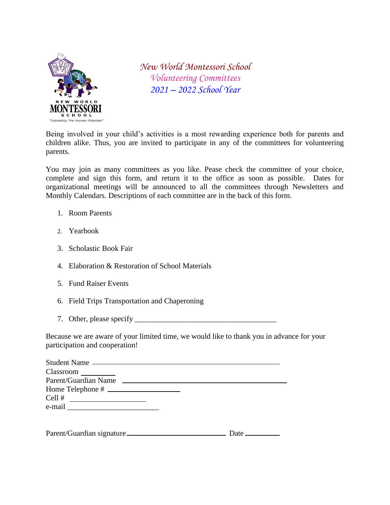

*New World Montessori School Volunteering Committees 2021 – 2022 School Year*

Being involved in your child's activities is a most rewarding experience both for parents and children alike. Thus, you are invited to participate in any of the committees for volunteering parents.

You may join as many committees as you like. Pease check the committee of your choice, complete and sign this form, and return it to the office as soon as possible. Dates for organizational meetings will be announced to all the committees through Newsletters and Monthly Calendars. Descriptions of each committee are in the back of this form.

- 1. Room Parents
- 2. Yearbook
- 3. Scholastic Book Fair
- 4. Elaboration & Restoration of School Materials
- 5. Fund Raiser Events
- 6. Field Trips Transportation and Chaperoning
- 7. Other, please specify \_\_\_\_\_\_\_\_\_\_\_\_\_\_\_\_\_\_\_\_\_\_\_\_\_\_\_\_\_\_\_\_\_\_\_\_\_

Because we are aware of your limited time, we would like to thank you in advance for your participation and cooperation!

| Student Name                                                                |
|-----------------------------------------------------------------------------|
| Classroom                                                                   |
| Parent/Guardian Name                                                        |
| Home Telephone #                                                            |
| Cell #<br><u> 1989 - Andrea Barbara, politik eta politikaria (h. 1989).</u> |
|                                                                             |
|                                                                             |

| Parent/Guardian signature_ | Date |
|----------------------------|------|
|                            |      |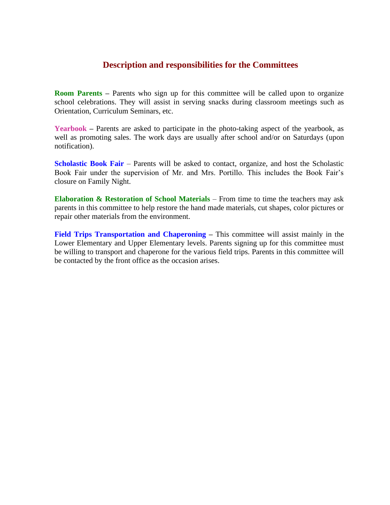### **Description and responsibilities for the Committees**

**Room Parents –** Parents who sign up for this committee will be called upon to organize school celebrations. They will assist in serving snacks during classroom meetings such as Orientation, Curriculum Seminars, etc.

Yearbook – Parents are asked to participate in the photo-taking aspect of the yearbook, as well as promoting sales. The work days are usually after school and/or on Saturdays (upon notification).

**Scholastic Book Fair** – Parents will be asked to contact, organize, and host the Scholastic Book Fair under the supervision of Mr. and Mrs. Portillo. This includes the Book Fair's closure on Family Night.

**Elaboration & Restoration of School Materials** – From time to time the teachers may ask parents in this committee to help restore the hand made materials, cut shapes, color pictures or repair other materials from the environment.

**Field Trips Transportation and Chaperoning –** This committee will assist mainly in the Lower Elementary and Upper Elementary levels. Parents signing up for this committee must be willing to transport and chaperone for the various field trips. Parents in this committee will be contacted by the front office as the occasion arises.